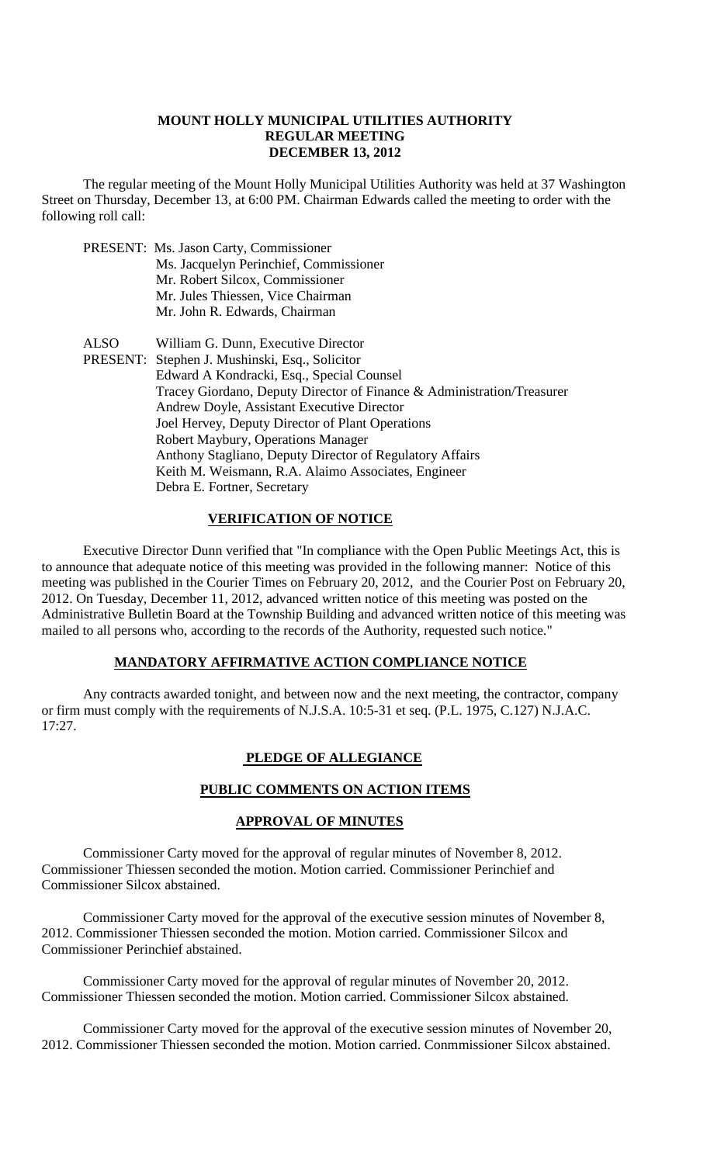### **MOUNT HOLLY MUNICIPAL UTILITIES AUTHORITY REGULAR MEETING DECEMBER 13, 2012**

The regular meeting of the Mount Holly Municipal Utilities Authority was held at 37 Washington Street on Thursday, December 13, at 6:00 PM. Chairman Edwards called the meeting to order with the following roll call:

PRESENT: Ms. Jason Carty, Commissioner Ms. Jacquelyn Perinchief, Commissioner Mr. Robert Silcox, Commissioner Mr. Jules Thiessen, Vice Chairman Mr. John R. Edwards, Chairman ALSO William G. Dunn, Executive Director PRESENT: Stephen J. Mushinski, Esq., Solicitor Edward A Kondracki, Esq., Special Counsel Tracey Giordano, Deputy Director of Finance & Administration/Treasurer Andrew Doyle, Assistant Executive Director Joel Hervey, Deputy Director of Plant Operations Robert Maybury, Operations Manager Anthony Stagliano, Deputy Director of Regulatory Affairs Keith M. Weismann, R.A. Alaimo Associates, Engineer Debra E. Fortner, Secretary

## **VERIFICATION OF NOTICE**

Executive Director Dunn verified that "In compliance with the Open Public Meetings Act, this is to announce that adequate notice of this meeting was provided in the following manner: Notice of this meeting was published in the Courier Times on February 20, 2012, and the Courier Post on February 20, 2012. On Tuesday, December 11, 2012, advanced written notice of this meeting was posted on the Administrative Bulletin Board at the Township Building and advanced written notice of this meeting was mailed to all persons who, according to the records of the Authority, requested such notice."

#### **MANDATORY AFFIRMATIVE ACTION COMPLIANCE NOTICE**

Any contracts awarded tonight, and between now and the next meeting, the contractor, company or firm must comply with the requirements of N.J.S.A. 10:5-31 et seq. (P.L. 1975, C.127) N.J.A.C. 17:27.

## **PLEDGE OF ALLEGIANCE**

## **PUBLIC COMMENTS ON ACTION ITEMS**

#### **APPROVAL OF MINUTES**

Commissioner Carty moved for the approval of regular minutes of November 8, 2012. Commissioner Thiessen seconded the motion. Motion carried. Commissioner Perinchief and Commissioner Silcox abstained.

Commissioner Carty moved for the approval of the executive session minutes of November 8, 2012. Commissioner Thiessen seconded the motion. Motion carried. Commissioner Silcox and Commissioner Perinchief abstained.

Commissioner Carty moved for the approval of regular minutes of November 20, 2012. Commissioner Thiessen seconded the motion. Motion carried. Commissioner Silcox abstained.

Commissioner Carty moved for the approval of the executive session minutes of November 20, 2012. Commissioner Thiessen seconded the motion. Motion carried. Conmmissioner Silcox abstained.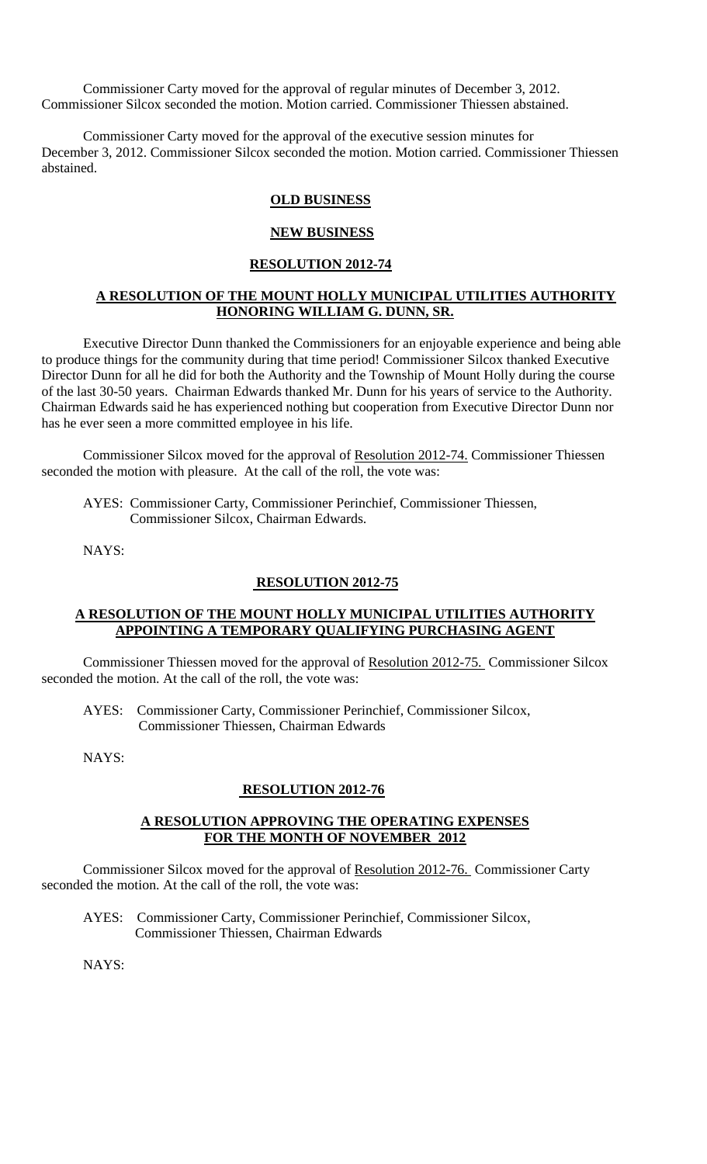Commissioner Carty moved for the approval of regular minutes of December 3, 2012. Commissioner Silcox seconded the motion. Motion carried. Commissioner Thiessen abstained.

Commissioner Carty moved for the approval of the executive session minutes for December 3, 2012. Commissioner Silcox seconded the motion. Motion carried. Commissioner Thiessen abstained.

### **OLD BUSINESS**

#### **NEW BUSINESS**

### **RESOLUTION 2012-74**

## **A RESOLUTION OF THE MOUNT HOLLY MUNICIPAL UTILITIES AUTHORITY HONORING WILLIAM G. DUNN, SR.**

Executive Director Dunn thanked the Commissioners for an enjoyable experience and being able to produce things for the community during that time period! Commissioner Silcox thanked Executive Director Dunn for all he did for both the Authority and the Township of Mount Holly during the course of the last 30-50 years. Chairman Edwards thanked Mr. Dunn for his years of service to the Authority. Chairman Edwards said he has experienced nothing but cooperation from Executive Director Dunn nor has he ever seen a more committed employee in his life.

Commissioner Silcox moved for the approval of Resolution 2012-74. Commissioner Thiessen seconded the motion with pleasure. At the call of the roll, the vote was:

AYES: Commissioner Carty, Commissioner Perinchief, Commissioner Thiessen, Commissioner Silcox, Chairman Edwards.

NAYS:

#### **RESOLUTION 2012-75**

#### **A RESOLUTION OF THE MOUNT HOLLY MUNICIPAL UTILITIES AUTHORITY APPOINTING A TEMPORARY QUALIFYING PURCHASING AGENT**

Commissioner Thiessen moved for the approval of Resolution 2012-75. Commissioner Silcox seconded the motion. At the call of the roll, the vote was:

AYES: Commissioner Carty, Commissioner Perinchief, Commissioner Silcox, Commissioner Thiessen, Chairman Edwards

NAYS:

#### **RESOLUTION 2012-76**

#### **A RESOLUTION APPROVING THE OPERATING EXPENSES FOR THE MONTH OF NOVEMBER 2012**

Commissioner Silcox moved for the approval of Resolution 2012-76. Commissioner Carty seconded the motion. At the call of the roll, the vote was:

 AYES: Commissioner Carty, Commissioner Perinchief, Commissioner Silcox, Commissioner Thiessen, Chairman Edwards

NAYS: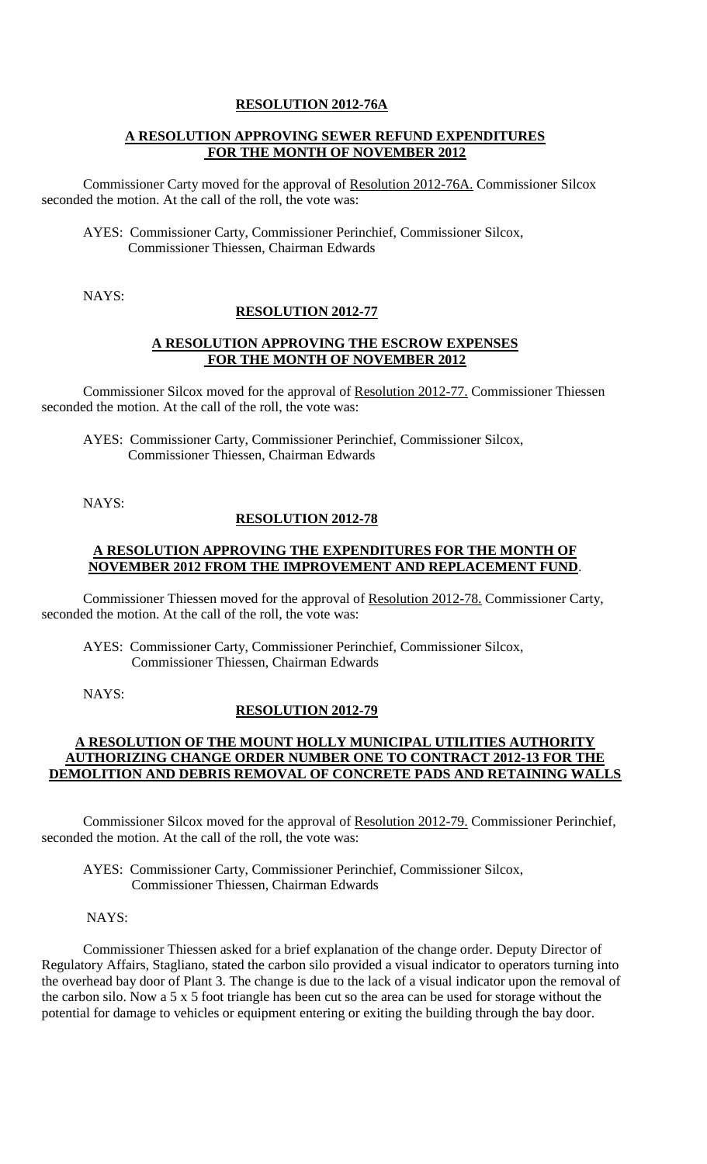### **RESOLUTION 2012-76A**

## **A RESOLUTION APPROVING SEWER REFUND EXPENDITURES FOR THE MONTH OF NOVEMBER 2012**

Commissioner Carty moved for the approval of Resolution 2012-76A. Commissioner Silcox seconded the motion. At the call of the roll, the vote was:

AYES: Commissioner Carty, Commissioner Perinchief, Commissioner Silcox, Commissioner Thiessen, Chairman Edwards

NAYS:

## **RESOLUTION 2012-77**

### **A RESOLUTION APPROVING THE ESCROW EXPENSES FOR THE MONTH OF NOVEMBER 2012**

Commissioner Silcox moved for the approval of Resolution 2012-77. Commissioner Thiessen seconded the motion. At the call of the roll, the vote was:

AYES: Commissioner Carty, Commissioner Perinchief, Commissioner Silcox, Commissioner Thiessen, Chairman Edwards

NAYS:

## **RESOLUTION 2012-78**

### **A RESOLUTION APPROVING THE EXPENDITURES FOR THE MONTH OF NOVEMBER 2012 FROM THE IMPROVEMENT AND REPLACEMENT FUND**.

Commissioner Thiessen moved for the approval of Resolution 2012-78. Commissioner Carty, seconded the motion. At the call of the roll, the vote was:

AYES: Commissioner Carty, Commissioner Perinchief, Commissioner Silcox, Commissioner Thiessen, Chairman Edwards

NAYS:

## **RESOLUTION 2012-79**

## **A RESOLUTION OF THE MOUNT HOLLY MUNICIPAL UTILITIES AUTHORITY AUTHORIZING CHANGE ORDER NUMBER ONE TO CONTRACT 2012-13 FOR THE DEMOLITION AND DEBRIS REMOVAL OF CONCRETE PADS AND RETAINING WALLS**

Commissioner Silcox moved for the approval of Resolution 2012-79. Commissioner Perinchief, seconded the motion. At the call of the roll, the vote was:

AYES: Commissioner Carty, Commissioner Perinchief, Commissioner Silcox, Commissioner Thiessen, Chairman Edwards

NAYS:

Commissioner Thiessen asked for a brief explanation of the change order. Deputy Director of Regulatory Affairs, Stagliano, stated the carbon silo provided a visual indicator to operators turning into the overhead bay door of Plant 3. The change is due to the lack of a visual indicator upon the removal of the carbon silo. Now a 5 x 5 foot triangle has been cut so the area can be used for storage without the potential for damage to vehicles or equipment entering or exiting the building through the bay door.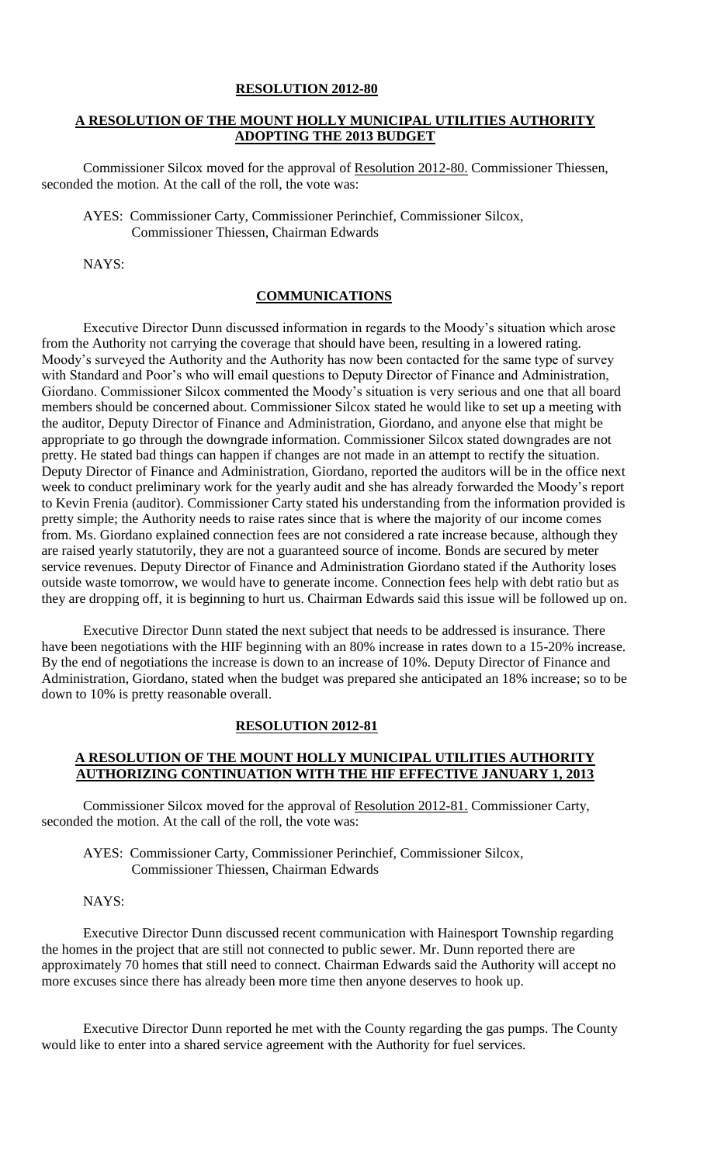#### **RESOLUTION 2012-80**

### **A RESOLUTION OF THE MOUNT HOLLY MUNICIPAL UTILITIES AUTHORITY ADOPTING THE 2013 BUDGET**

Commissioner Silcox moved for the approval of Resolution 2012-80. Commissioner Thiessen, seconded the motion. At the call of the roll, the vote was:

AYES: Commissioner Carty, Commissioner Perinchief, Commissioner Silcox, Commissioner Thiessen, Chairman Edwards

NAYS:

#### **COMMUNICATIONS**

Executive Director Dunn discussed information in regards to the Moody's situation which arose from the Authority not carrying the coverage that should have been, resulting in a lowered rating. Moody's surveyed the Authority and the Authority has now been contacted for the same type of survey with Standard and Poor's who will email questions to Deputy Director of Finance and Administration, Giordano. Commissioner Silcox commented the Moody's situation is very serious and one that all board members should be concerned about. Commissioner Silcox stated he would like to set up a meeting with the auditor, Deputy Director of Finance and Administration, Giordano, and anyone else that might be appropriate to go through the downgrade information. Commissioner Silcox stated downgrades are not pretty. He stated bad things can happen if changes are not made in an attempt to rectify the situation. Deputy Director of Finance and Administration, Giordano, reported the auditors will be in the office next week to conduct preliminary work for the yearly audit and she has already forwarded the Moody's report to Kevin Frenia (auditor). Commissioner Carty stated his understanding from the information provided is pretty simple; the Authority needs to raise rates since that is where the majority of our income comes from. Ms. Giordano explained connection fees are not considered a rate increase because, although they are raised yearly statutorily, they are not a guaranteed source of income. Bonds are secured by meter service revenues. Deputy Director of Finance and Administration Giordano stated if the Authority loses outside waste tomorrow, we would have to generate income. Connection fees help with debt ratio but as they are dropping off, it is beginning to hurt us. Chairman Edwards said this issue will be followed up on.

Executive Director Dunn stated the next subject that needs to be addressed is insurance. There have been negotiations with the HIF beginning with an 80% increase in rates down to a 15-20% increase. By the end of negotiations the increase is down to an increase of 10%. Deputy Director of Finance and Administration, Giordano, stated when the budget was prepared she anticipated an 18% increase; so to be down to 10% is pretty reasonable overall.

#### **RESOLUTION 2012-81**

## **A RESOLUTION OF THE MOUNT HOLLY MUNICIPAL UTILITIES AUTHORITY AUTHORIZING CONTINUATION WITH THE HIF EFFECTIVE JANUARY 1, 2013**

Commissioner Silcox moved for the approval of Resolution 2012-81. Commissioner Carty, seconded the motion. At the call of the roll, the vote was:

AYES: Commissioner Carty, Commissioner Perinchief, Commissioner Silcox, Commissioner Thiessen, Chairman Edwards

#### NAYS:

Executive Director Dunn discussed recent communication with Hainesport Township regarding the homes in the project that are still not connected to public sewer. Mr. Dunn reported there are approximately 70 homes that still need to connect. Chairman Edwards said the Authority will accept no more excuses since there has already been more time then anyone deserves to hook up.

Executive Director Dunn reported he met with the County regarding the gas pumps. The County would like to enter into a shared service agreement with the Authority for fuel services.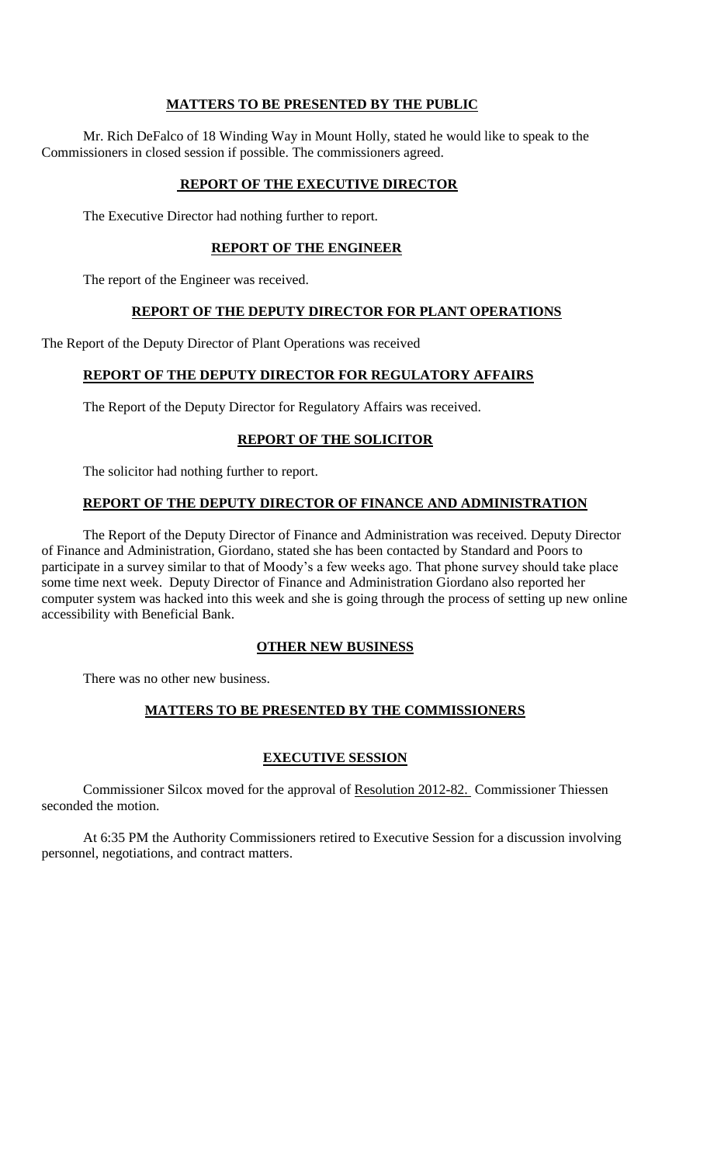## **MATTERS TO BE PRESENTED BY THE PUBLIC**

Mr. Rich DeFalco of 18 Winding Way in Mount Holly, stated he would like to speak to the Commissioners in closed session if possible. The commissioners agreed.

# **REPORT OF THE EXECUTIVE DIRECTOR**

The Executive Director had nothing further to report.

## **REPORT OF THE ENGINEER**

The report of the Engineer was received.

## **REPORT OF THE DEPUTY DIRECTOR FOR PLANT OPERATIONS**

The Report of the Deputy Director of Plant Operations was received

# **REPORT OF THE DEPUTY DIRECTOR FOR REGULATORY AFFAIRS**

The Report of the Deputy Director for Regulatory Affairs was received.

## **REPORT OF THE SOLICITOR**

The solicitor had nothing further to report.

## **REPORT OF THE DEPUTY DIRECTOR OF FINANCE AND ADMINISTRATION**

The Report of the Deputy Director of Finance and Administration was received. Deputy Director of Finance and Administration, Giordano, stated she has been contacted by Standard and Poors to participate in a survey similar to that of Moody's a few weeks ago. That phone survey should take place some time next week. Deputy Director of Finance and Administration Giordano also reported her computer system was hacked into this week and she is going through the process of setting up new online accessibility with Beneficial Bank.

## **OTHER NEW BUSINESS**

There was no other new business.

# **MATTERS TO BE PRESENTED BY THE COMMISSIONERS**

## **EXECUTIVE SESSION**

Commissioner Silcox moved for the approval of Resolution 2012-82. Commissioner Thiessen seconded the motion.

At 6:35 PM the Authority Commissioners retired to Executive Session for a discussion involving personnel, negotiations, and contract matters.